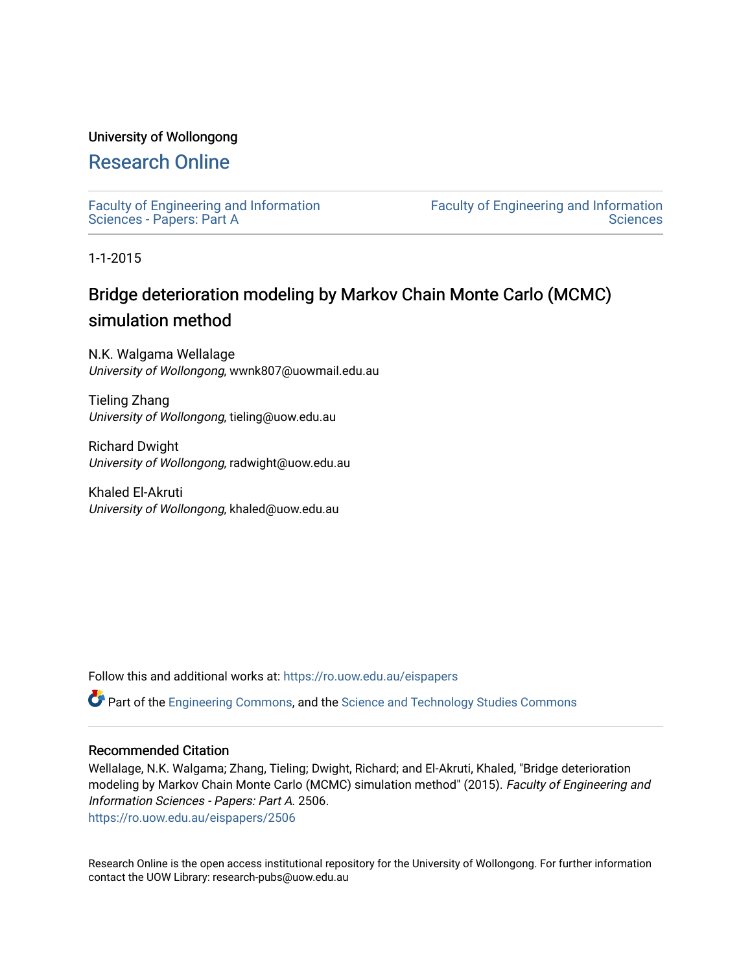### University of Wollongong

## [Research Online](https://ro.uow.edu.au/)

[Faculty of Engineering and Information](https://ro.uow.edu.au/eispapers)  [Sciences - Papers: Part A](https://ro.uow.edu.au/eispapers) 

[Faculty of Engineering and Information](https://ro.uow.edu.au/eis)  **Sciences** 

1-1-2015

# Bridge deterioration modeling by Markov Chain Monte Carlo (MCMC) simulation method

N.K. Walgama Wellalage University of Wollongong, wwnk807@uowmail.edu.au

Tieling Zhang University of Wollongong, tieling@uow.edu.au

Richard Dwight University of Wollongong, radwight@uow.edu.au

Khaled El-Akruti University of Wollongong, khaled@uow.edu.au

Follow this and additional works at: [https://ro.uow.edu.au/eispapers](https://ro.uow.edu.au/eispapers?utm_source=ro.uow.edu.au%2Feispapers%2F2506&utm_medium=PDF&utm_campaign=PDFCoverPages)

Part of the [Engineering Commons](http://network.bepress.com/hgg/discipline/217?utm_source=ro.uow.edu.au%2Feispapers%2F2506&utm_medium=PDF&utm_campaign=PDFCoverPages), and the [Science and Technology Studies Commons](http://network.bepress.com/hgg/discipline/435?utm_source=ro.uow.edu.au%2Feispapers%2F2506&utm_medium=PDF&utm_campaign=PDFCoverPages)

#### Recommended Citation

Wellalage, N.K. Walgama; Zhang, Tieling; Dwight, Richard; and El-Akruti, Khaled, "Bridge deterioration modeling by Markov Chain Monte Carlo (MCMC) simulation method" (2015). Faculty of Engineering and Information Sciences - Papers: Part A. 2506.

[https://ro.uow.edu.au/eispapers/2506](https://ro.uow.edu.au/eispapers/2506?utm_source=ro.uow.edu.au%2Feispapers%2F2506&utm_medium=PDF&utm_campaign=PDFCoverPages) 

Research Online is the open access institutional repository for the University of Wollongong. For further information contact the UOW Library: research-pubs@uow.edu.au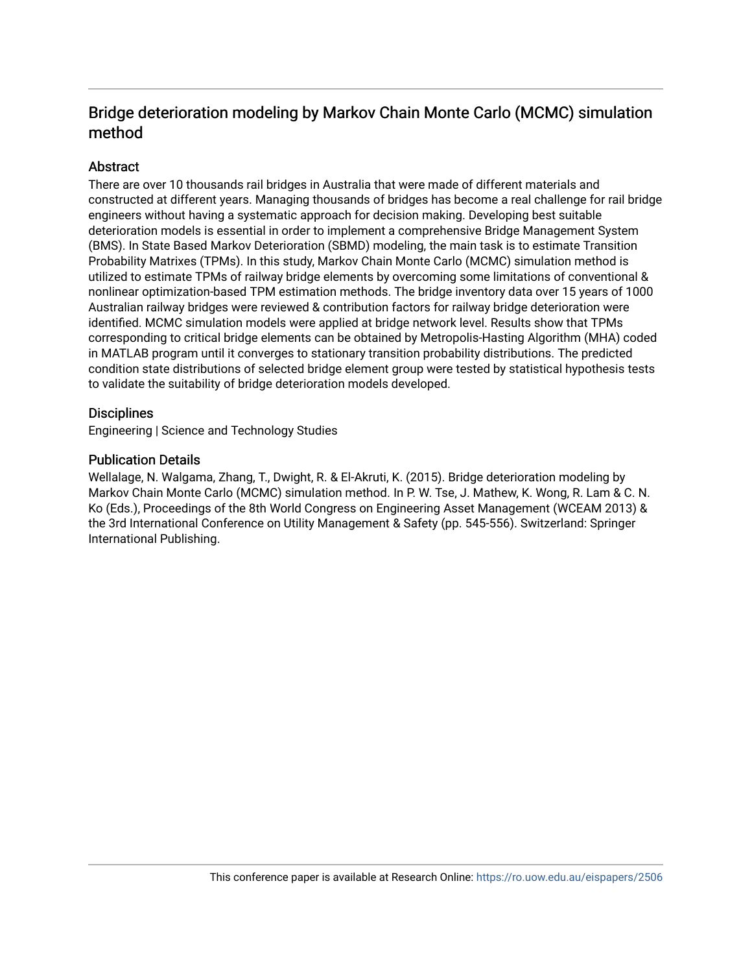## Bridge deterioration modeling by Markov Chain Monte Carlo (MCMC) simulation method

## **Abstract**

There are over 10 thousands rail bridges in Australia that were made of different materials and constructed at different years. Managing thousands of bridges has become a real challenge for rail bridge engineers without having a systematic approach for decision making. Developing best suitable deterioration models is essential in order to implement a comprehensive Bridge Management System (BMS). In State Based Markov Deterioration (SBMD) modeling, the main task is to estimate Transition Probability Matrixes (TPMs). In this study, Markov Chain Monte Carlo (MCMC) simulation method is utilized to estimate TPMs of railway bridge elements by overcoming some limitations of conventional & nonlinear optimization-based TPM estimation methods. The bridge inventory data over 15 years of 1000 Australian railway bridges were reviewed & contribution factors for railway bridge deterioration were identified. MCMC simulation models were applied at bridge network level. Results show that TPMs corresponding to critical bridge elements can be obtained by Metropolis-Hasting Algorithm (MHA) coded in MATLAB program until it converges to stationary transition probability distributions. The predicted condition state distributions of selected bridge element group were tested by statistical hypothesis tests to validate the suitability of bridge deterioration models developed.

### **Disciplines**

Engineering | Science and Technology Studies

## Publication Details

Wellalage, N. Walgama, Zhang, T., Dwight, R. & El-Akruti, K. (2015). Bridge deterioration modeling by Markov Chain Monte Carlo (MCMC) simulation method. In P. W. Tse, J. Mathew, K. Wong, R. Lam & C. N. Ko (Eds.), Proceedings of the 8th World Congress on Engineering Asset Management (WCEAM 2013) & the 3rd International Conference on Utility Management & Safety (pp. 545-556). Switzerland: Springer International Publishing.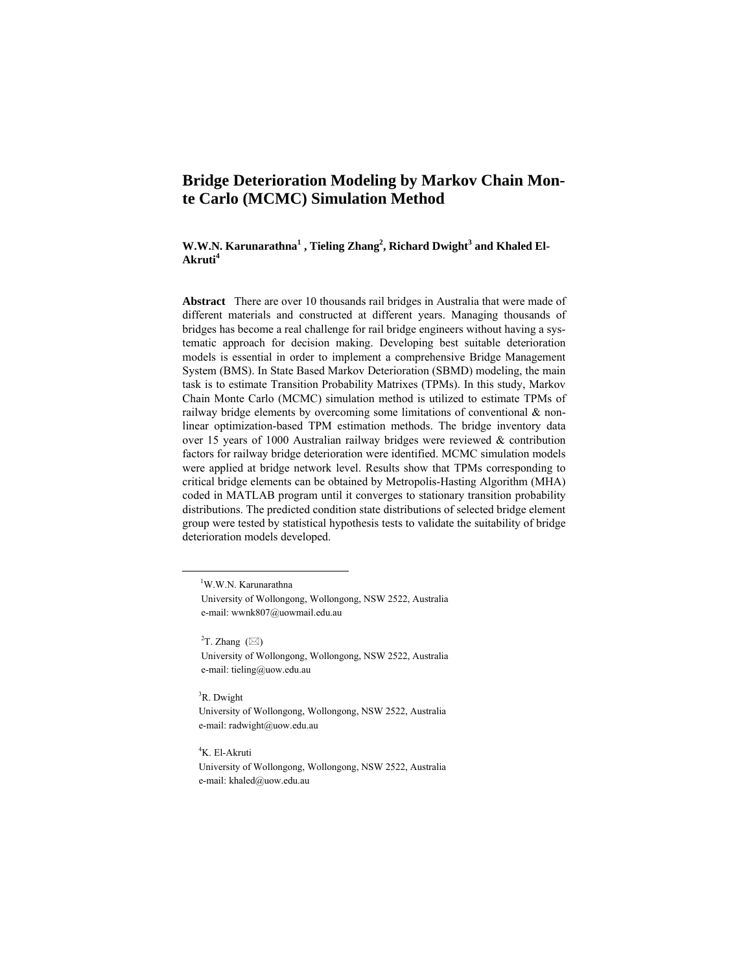## **Bridge Deterioration Modeling by Markov Chain Monte Carlo (MCMC) Simulation Method**

 $W.W.N.$  Karunarathna<sup>1</sup>, Tieling Zhang<sup>2</sup>, Richard Dwight<sup>3</sup> and Khaled El-**Akruti<sup>4</sup>** 

**Abstract** There are over 10 thousands rail bridges in Australia that were made of different materials and constructed at different years. Managing thousands of bridges has become a real challenge for rail bridge engineers without having a systematic approach for decision making. Developing best suitable deterioration models is essential in order to implement a comprehensive Bridge Management System (BMS). In State Based Markov Deterioration (SBMD) modeling, the main task is to estimate Transition Probability Matrixes (TPMs). In this study, Markov Chain Monte Carlo (MCMC) simulation method is utilized to estimate TPMs of railway bridge elements by overcoming some limitations of conventional & nonlinear optimization-based TPM estimation methods. The bridge inventory data over 15 years of 1000 Australian railway bridges were reviewed & contribution factors for railway bridge deterioration were identified. MCMC simulation models were applied at bridge network level. Results show that TPMs corresponding to critical bridge elements can be obtained by Metropolis-Hasting Algorithm (MHA) coded in MATLAB program until it converges to stationary transition probability distributions. The predicted condition state distributions of selected bridge element group were tested by statistical hypothesis tests to validate the suitability of bridge deterioration models developed.

 $\frac{1}{1}$ W.W.N. Karunarathna University of Wollongong, Wollongong, NSW 2522, Australia e-mail: wwnk807@uowmail.edu.au

<sup>2</sup>T. Zhang  $(\boxtimes)$  University of Wollongong, Wollongong, NSW 2522, Australia e-mail: tieling@uow.edu.au

<sup>3</sup>R. Dwight University of Wollongong, Wollongong, NSW 2522, Australia e-mail: radwight@uow.edu.au

4 K. El-Akruti University of Wollongong, Wollongong, NSW 2522, Australia e-mail: khaled@uow.edu.au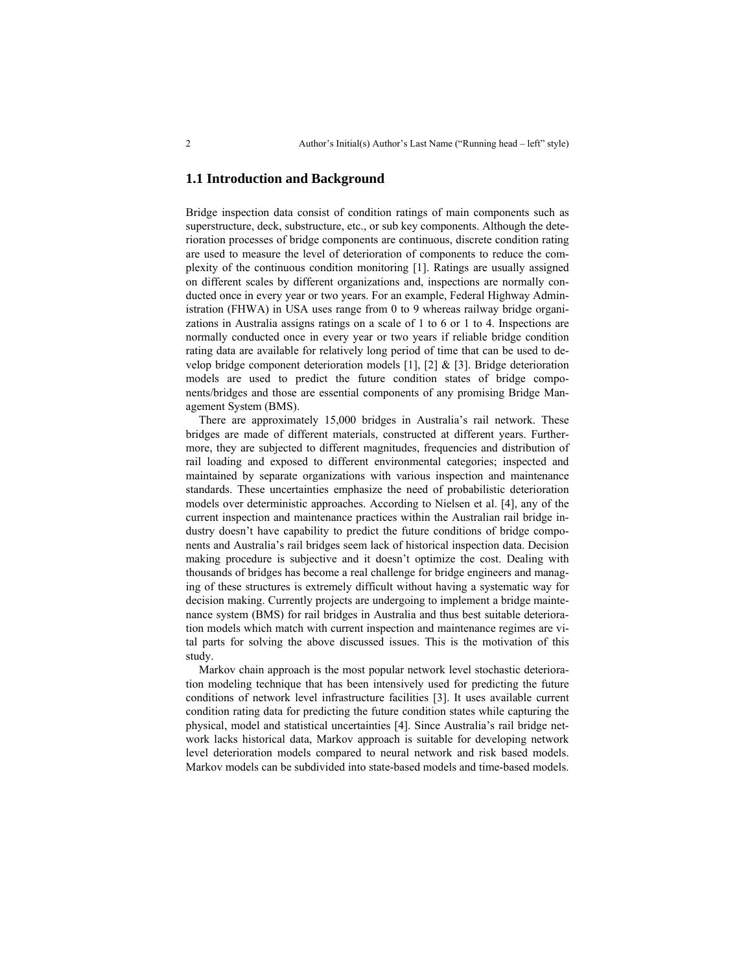#### **1.1 Introduction and Background**

Bridge inspection data consist of condition ratings of main components such as superstructure, deck, substructure, etc., or sub key components. Although the deterioration processes of bridge components are continuous, discrete condition rating are used to measure the level of deterioration of components to reduce the complexity of the continuous condition monitoring [1]. Ratings are usually assigned on different scales by different organizations and, inspections are normally conducted once in every year or two years. For an example, Federal Highway Administration (FHWA) in USA uses range from 0 to 9 whereas railway bridge organizations in Australia assigns ratings on a scale of 1 to 6 or 1 to 4. Inspections are normally conducted once in every year or two years if reliable bridge condition rating data are available for relatively long period of time that can be used to develop bridge component deterioration models [1], [2] & [3]. Bridge deterioration models are used to predict the future condition states of bridge components/bridges and those are essential components of any promising Bridge Management System (BMS).

There are approximately 15,000 bridges in Australia's rail network. These bridges are made of different materials, constructed at different years. Furthermore, they are subjected to different magnitudes, frequencies and distribution of rail loading and exposed to different environmental categories; inspected and maintained by separate organizations with various inspection and maintenance standards. These uncertainties emphasize the need of probabilistic deterioration models over deterministic approaches. According to Nielsen et al. [4], any of the current inspection and maintenance practices within the Australian rail bridge industry doesn't have capability to predict the future conditions of bridge components and Australia's rail bridges seem lack of historical inspection data. Decision making procedure is subjective and it doesn't optimize the cost. Dealing with thousands of bridges has become a real challenge for bridge engineers and managing of these structures is extremely difficult without having a systematic way for decision making. Currently projects are undergoing to implement a bridge maintenance system (BMS) for rail bridges in Australia and thus best suitable deterioration models which match with current inspection and maintenance regimes are vital parts for solving the above discussed issues. This is the motivation of this study.

Markov chain approach is the most popular network level stochastic deterioration modeling technique that has been intensively used for predicting the future conditions of network level infrastructure facilities [3]. It uses available current condition rating data for predicting the future condition states while capturing the physical, model and statistical uncertainties [4]. Since Australia's rail bridge network lacks historical data, Markov approach is suitable for developing network level deterioration models compared to neural network and risk based models. Markov models can be subdivided into state-based models and time-based models.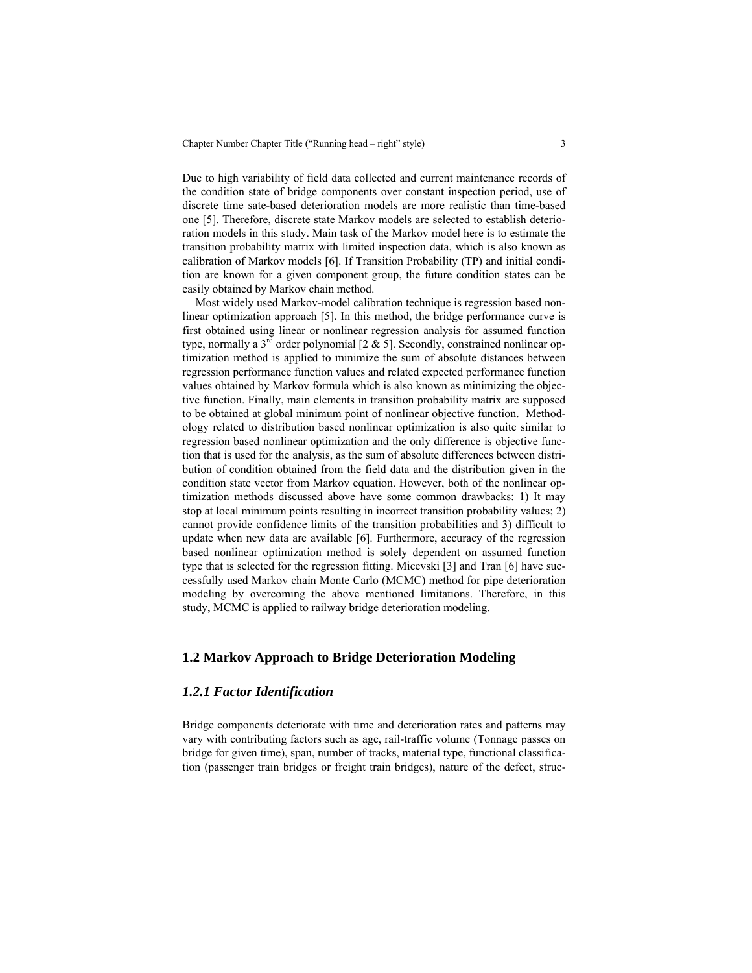Due to high variability of field data collected and current maintenance records of the condition state of bridge components over constant inspection period, use of discrete time sate-based deterioration models are more realistic than time-based one [5]. Therefore, discrete state Markov models are selected to establish deterioration models in this study. Main task of the Markov model here is to estimate the transition probability matrix with limited inspection data, which is also known as calibration of Markov models [6]. If Transition Probability (TP) and initial condition are known for a given component group, the future condition states can be easily obtained by Markov chain method.

Most widely used Markov-model calibration technique is regression based nonlinear optimization approach [5]. In this method, the bridge performance curve is first obtained using linear or nonlinear regression analysis for assumed function type, normally a 3<sup>rd</sup> order polynomial [2 & 5]. Secondly, constrained nonlinear optimization method is applied to minimize the sum of absolute distances between regression performance function values and related expected performance function values obtained by Markov formula which is also known as minimizing the objective function. Finally, main elements in transition probability matrix are supposed to be obtained at global minimum point of nonlinear objective function. Methodology related to distribution based nonlinear optimization is also quite similar to regression based nonlinear optimization and the only difference is objective function that is used for the analysis, as the sum of absolute differences between distribution of condition obtained from the field data and the distribution given in the condition state vector from Markov equation. However, both of the nonlinear optimization methods discussed above have some common drawbacks: 1) It may stop at local minimum points resulting in incorrect transition probability values; 2) cannot provide confidence limits of the transition probabilities and 3) difficult to update when new data are available [6]. Furthermore, accuracy of the regression based nonlinear optimization method is solely dependent on assumed function type that is selected for the regression fitting. Micevski [3] and Tran [6] have successfully used Markov chain Monte Carlo (MCMC) method for pipe deterioration modeling by overcoming the above mentioned limitations. Therefore, in this study, MCMC is applied to railway bridge deterioration modeling.

#### **1.2 Markov Approach to Bridge Deterioration Modeling**

#### *1.2.1 Factor Identification*

Bridge components deteriorate with time and deterioration rates and patterns may vary with contributing factors such as age, rail-traffic volume (Tonnage passes on bridge for given time), span, number of tracks, material type, functional classification (passenger train bridges or freight train bridges), nature of the defect, struc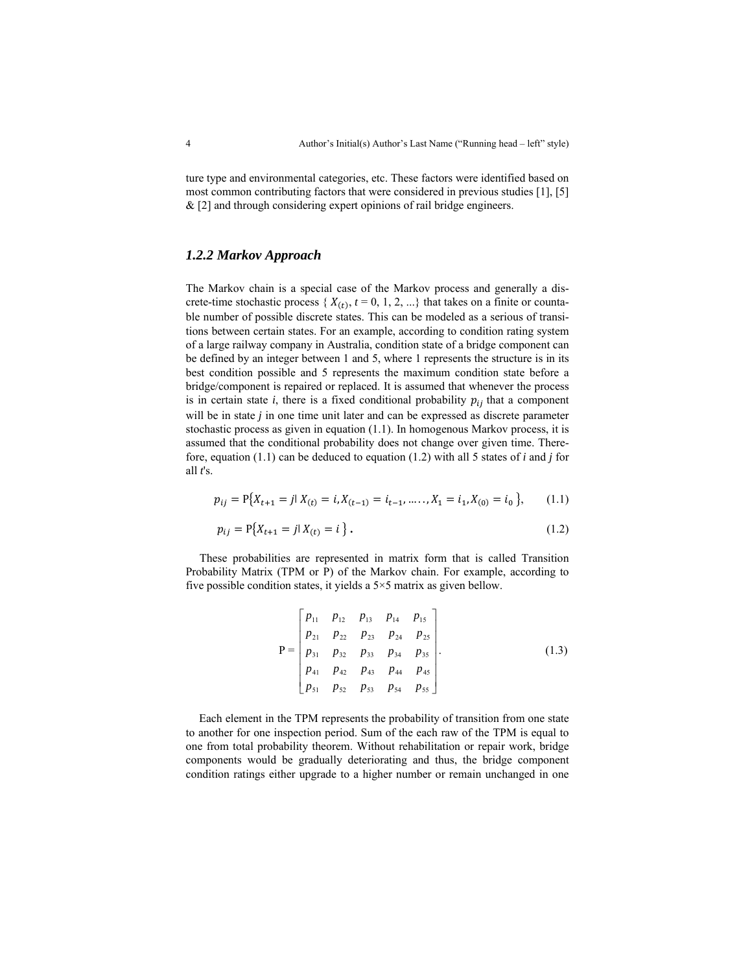ture type and environmental categories, etc. These factors were identified based on most common contributing factors that were considered in previous studies [1], [5] & [2] and through considering expert opinions of rail bridge engineers.

#### *1.2.2 Markov Approach*

The Markov chain is a special case of the Markov process and generally a discrete-time stochastic process { $X(t)$ ,  $t = 0, 1, 2, ...$ } that takes on a finite or countable number of possible discrete states. This can be modeled as a serious of transitions between certain states. For an example, according to condition rating system of a large railway company in Australia, condition state of a bridge component can be defined by an integer between 1 and 5, where 1 represents the structure is in its best condition possible and 5 represents the maximum condition state before a bridge/component is repaired or replaced. It is assumed that whenever the process is in certain state  $i$ , there is a fixed conditional probability  $p_{ij}$  that a component will be in state *j* in one time unit later and can be expressed as discrete parameter stochastic process as given in equation (1.1). In homogenous Markov process, it is assumed that the conditional probability does not change over given time. Therefore, equation (1.1) can be deduced to equation (1.2) with all 5 states of *i* and *j* for all *t*'s.

$$
p_{ij} = P\{X_{t+1} = j | X_{(t)} = i, X_{(t-1)} = i_{t-1}, \dots, X_1 = i_1, X_{(0)} = i_0\},\tag{1.1}
$$

$$
p_{ij} = P\{X_{t+1} = j | X_{(t)} = i\}.
$$
\n(1.2)

These probabilities are represented in matrix form that is called Transition Probability Matrix (TPM or P) of the Markov chain. For example, according to five possible condition states, it yields a 5×5 matrix as given bellow.

$$
P = \begin{bmatrix} p_{11} & p_{12} & p_{13} & p_{14} & p_{15} \\ p_{21} & p_{22} & p_{23} & p_{24} & p_{25} \\ p_{31} & p_{32} & p_{33} & p_{34} & p_{35} \\ p_{41} & p_{42} & p_{43} & p_{44} & p_{45} \\ p_{51} & p_{52} & p_{53} & p_{54} & p_{55} \end{bmatrix}.
$$
 (1.3)

Each element in the TPM represents the probability of transition from one state to another for one inspection period. Sum of the each raw of the TPM is equal to one from total probability theorem. Without rehabilitation or repair work, bridge components would be gradually deteriorating and thus, the bridge component condition ratings either upgrade to a higher number or remain unchanged in one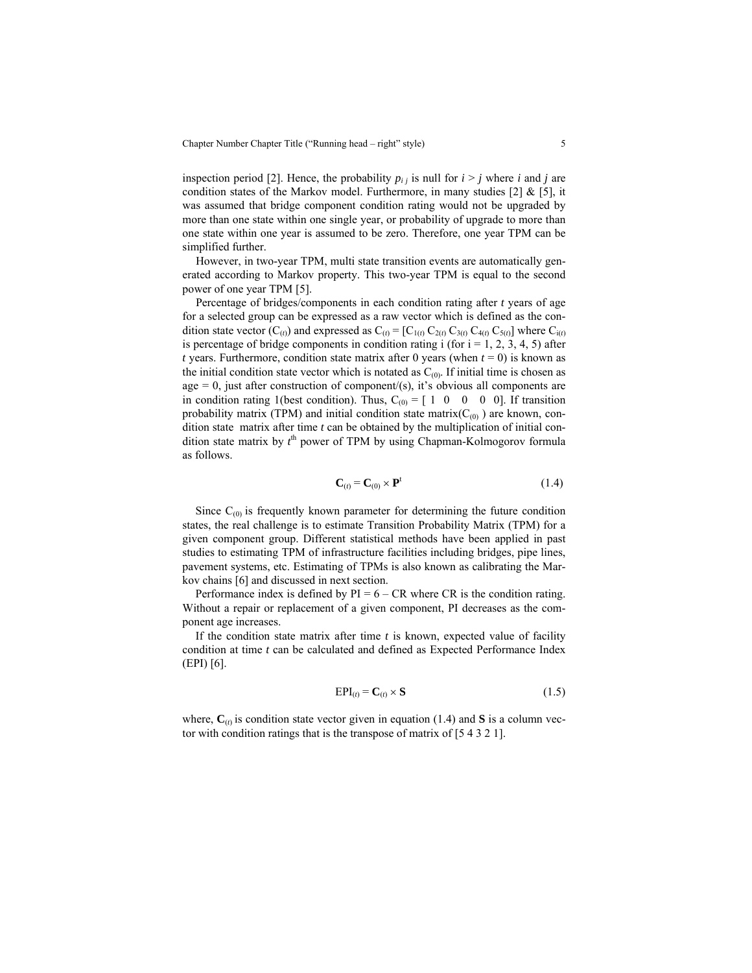inspection period [2]. Hence, the probability  $p_{i j}$  is null for  $i > j$  where *i* and *j* are condition states of the Markov model. Furthermore, in many studies  $[2] \& [5]$ , it was assumed that bridge component condition rating would not be upgraded by more than one state within one single year, or probability of upgrade to more than one state within one year is assumed to be zero. Therefore, one year TPM can be simplified further.

However, in two-year TPM, multi state transition events are automatically generated according to Markov property. This two-year TPM is equal to the second power of one year TPM [5].

Percentage of bridges/components in each condition rating after *t* years of age for a selected group can be expressed as a raw vector which is defined as the condition state vector  $(C_{(t)})$  and expressed as  $C_{(t)} = [C_{1(t)} C_{2(t)} C_{3(t)} C_{4(t)} C_{5(t)}]$  where  $C_{i(t)}$ is percentage of bridge components in condition rating i (for  $i = 1, 2, 3, 4, 5$ ) after *t* years. Furthermore, condition state matrix after 0 years (when  $t = 0$ ) is known as the initial condition state vector which is notated as  $C_{(0)}$ . If initial time is chosen as age  $= 0$ , just after construction of component/(s), it's obvious all components are in condition rating 1(best condition). Thus,  $C_{(0)} = [1 \ 0 \ 0 \ 0]$ . If transition probability matrix (TPM) and initial condition state matrix( $C_{(0)}$ ) are known, condition state matrix after time *t* can be obtained by the multiplication of initial condition state matrix by  $t^{\text{th}}$  power of TPM by using Chapman-Kolmogorov formula as follows.

$$
\mathbf{C}_{(t)} = \mathbf{C}_{(0)} \times \mathbf{P}^{\mathrm{t}} \tag{1.4}
$$

Since  $C_{(0)}$  is frequently known parameter for determining the future condition states, the real challenge is to estimate Transition Probability Matrix (TPM) for a given component group. Different statistical methods have been applied in past studies to estimating TPM of infrastructure facilities including bridges, pipe lines, pavement systems, etc. Estimating of TPMs is also known as calibrating the Markov chains [6] and discussed in next section.

Performance index is defined by  $PI = 6 - CR$  where CR is the condition rating. Without a repair or replacement of a given component, PI decreases as the component age increases.

If the condition state matrix after time  $t$  is known, expected value of facility condition at time *t* can be calculated and defined as Expected Performance Index (EPI) [6].

$$
EPI_{(t)} = \mathbf{C}_{(t)} \times \mathbf{S} \tag{1.5}
$$

where,  $C_{(t)}$  is condition state vector given in equation (1.4) and **S** is a column vector with condition ratings that is the transpose of matrix of [5 4 3 2 1].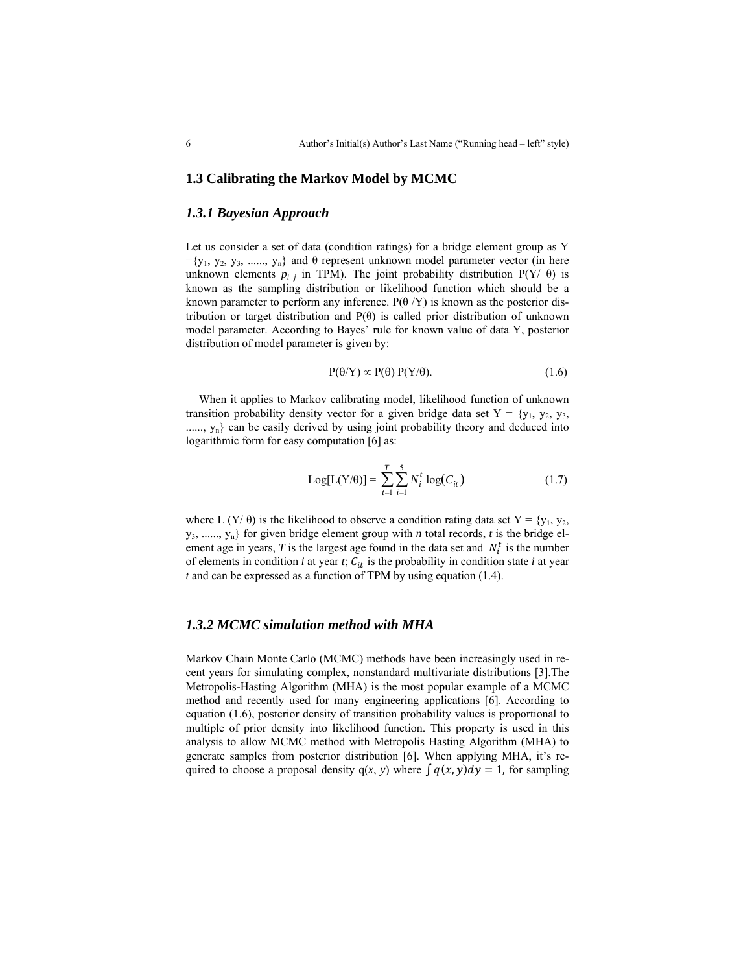#### **1.3 Calibrating the Markov Model by MCMC**

#### *1.3.1 Bayesian Approach*

Let us consider a set of data (condition ratings) for a bridge element group as Y  $=\{y_1, y_2, y_3, \ldots, y_n\}$  and  $\theta$  represent unknown model parameter vector (in here unknown elements  $p_{i,j}$  in TPM). The joint probability distribution P(Y/  $\theta$ ) is known as the sampling distribution or likelihood function which should be a known parameter to perform any inference.  $P(\theta/Y)$  is known as the posterior distribution or target distribution and  $P(\theta)$  is called prior distribution of unknown model parameter. According to Bayes' rule for known value of data Y, posterior distribution of model parameter is given by:

$$
P(\theta/Y) \propto P(\theta) P(Y/\theta).
$$
 (1.6)

When it applies to Markov calibrating model, likelihood function of unknown transition probability density vector for a given bridge data set  $Y = \{y_1, y_2, y_3,$ ......,  $y_n$ } can be easily derived by using joint probability theory and deduced into logarithmic form for easy computation [6] as:

Log[L(Y/\theta)] = 
$$
\sum_{t=1}^{T} \sum_{i=1}^{5} N_i^t \log(C_{it})
$$
 (1.7)

where L (Y/  $\theta$ ) is the likelihood to observe a condition rating data set Y = {y<sub>1</sub>, y<sub>2</sub>, y3, ......, yn} for given bridge element group with *n* total records, *t* is the bridge element age in years,  $T$  is the largest age found in the data set and  $N_t^t$  is the number of elements in condition  $i$  at year  $t$ ;  $C_{it}$  is the probability in condition state  $i$  at year *t* and can be expressed as a function of TPM by using equation (1.4).

#### *1.3.2 MCMC simulation method with MHA*

Markov Chain Monte Carlo (MCMC) methods have been increasingly used in recent years for simulating complex, nonstandard multivariate distributions [3].The Metropolis-Hasting Algorithm (MHA) is the most popular example of a MCMC method and recently used for many engineering applications [6]. According to equation (1.6), posterior density of transition probability values is proportional to multiple of prior density into likelihood function. This property is used in this analysis to allow MCMC method with Metropolis Hasting Algorithm (MHA) to generate samples from posterior distribution [6]. When applying MHA, it's required to choose a proposal density  $q(x, y)$  where  $\int q(x, y) dy = 1$ , for sampling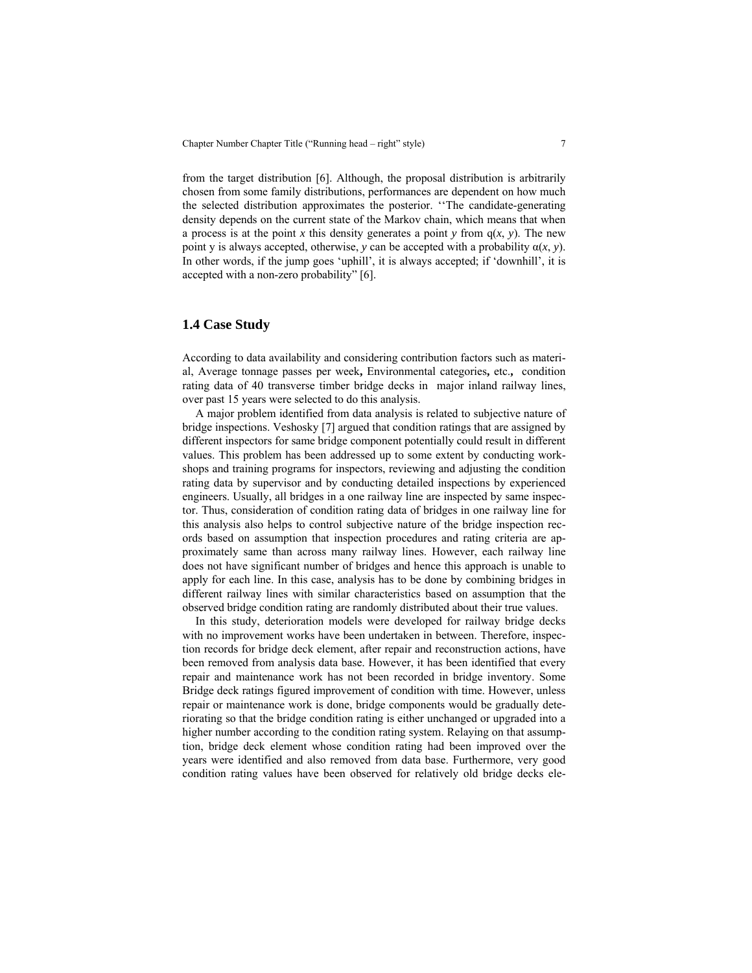from the target distribution [6]. Although, the proposal distribution is arbitrarily chosen from some family distributions, performances are dependent on how much the selected distribution approximates the posterior. ''The candidate-generating density depends on the current state of the Markov chain, which means that when a process is at the point *x* this density generates a point *y* from  $q(x, y)$ . The new point y is always accepted, otherwise, *y* can be accepted with a probability  $\alpha(x, y)$ . In other words, if the jump goes 'uphill', it is always accepted; if 'downhill', it is accepted with a non-zero probability" [6].

#### **1.4 Case Study**

According to data availability and considering contribution factors such as material, Average tonnage passes per week**,** Environmental categories**,** etc.**,** condition rating data of 40 transverse timber bridge decks in major inland railway lines, over past 15 years were selected to do this analysis.

A major problem identified from data analysis is related to subjective nature of bridge inspections. Veshosky [7] argued that condition ratings that are assigned by different inspectors for same bridge component potentially could result in different values. This problem has been addressed up to some extent by conducting workshops and training programs for inspectors, reviewing and adjusting the condition rating data by supervisor and by conducting detailed inspections by experienced engineers. Usually, all bridges in a one railway line are inspected by same inspector. Thus, consideration of condition rating data of bridges in one railway line for this analysis also helps to control subjective nature of the bridge inspection records based on assumption that inspection procedures and rating criteria are approximately same than across many railway lines. However, each railway line does not have significant number of bridges and hence this approach is unable to apply for each line. In this case, analysis has to be done by combining bridges in different railway lines with similar characteristics based on assumption that the observed bridge condition rating are randomly distributed about their true values.

In this study, deterioration models were developed for railway bridge decks with no improvement works have been undertaken in between. Therefore, inspection records for bridge deck element, after repair and reconstruction actions, have been removed from analysis data base. However, it has been identified that every repair and maintenance work has not been recorded in bridge inventory. Some Bridge deck ratings figured improvement of condition with time. However, unless repair or maintenance work is done, bridge components would be gradually deteriorating so that the bridge condition rating is either unchanged or upgraded into a higher number according to the condition rating system. Relaying on that assumption, bridge deck element whose condition rating had been improved over the years were identified and also removed from data base. Furthermore, very good condition rating values have been observed for relatively old bridge decks ele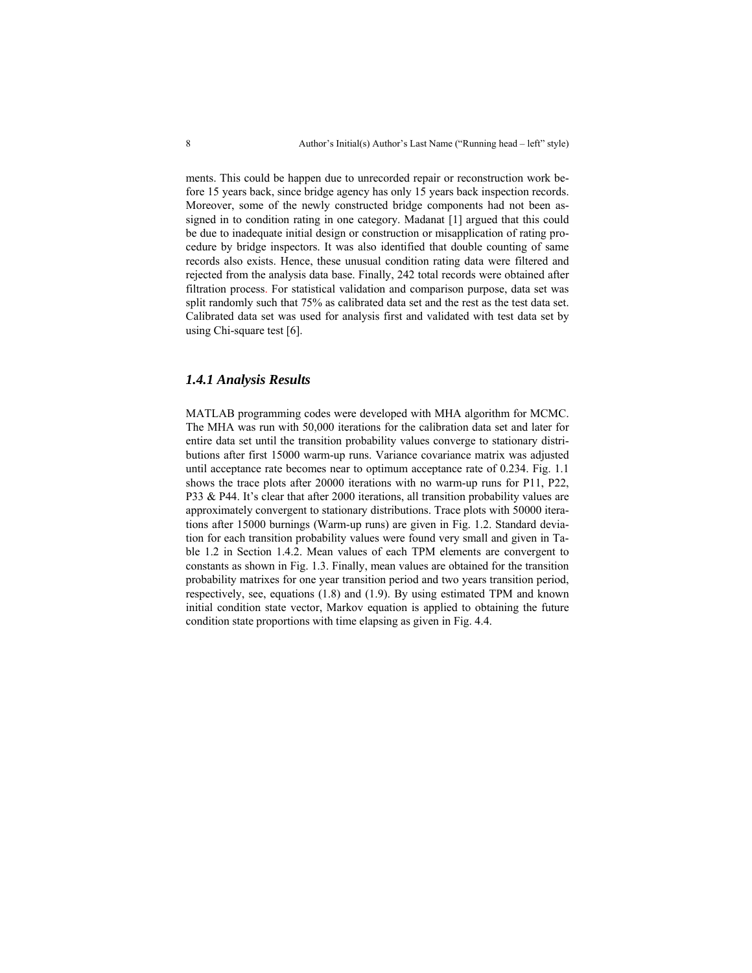ments. This could be happen due to unrecorded repair or reconstruction work before 15 years back, since bridge agency has only 15 years back inspection records. Moreover, some of the newly constructed bridge components had not been assigned in to condition rating in one category. Madanat [1] argued that this could be due to inadequate initial design or construction or misapplication of rating procedure by bridge inspectors. It was also identified that double counting of same records also exists. Hence, these unusual condition rating data were filtered and rejected from the analysis data base. Finally, 242 total records were obtained after filtration process. For statistical validation and comparison purpose, data set was split randomly such that 75% as calibrated data set and the rest as the test data set. Calibrated data set was used for analysis first and validated with test data set by using Chi-square test [6].

#### *1.4.1 Analysis Results*

MATLAB programming codes were developed with MHA algorithm for MCMC. The MHA was run with 50,000 iterations for the calibration data set and later for entire data set until the transition probability values converge to stationary distributions after first 15000 warm-up runs. Variance covariance matrix was adjusted until acceptance rate becomes near to optimum acceptance rate of 0.234. Fig. 1.1 shows the trace plots after 20000 iterations with no warm-up runs for P11, P22, P33 & P44. It's clear that after 2000 iterations, all transition probability values are approximately convergent to stationary distributions. Trace plots with 50000 iterations after 15000 burnings (Warm-up runs) are given in Fig. 1.2. Standard deviation for each transition probability values were found very small and given in Table 1.2 in Section 1.4.2. Mean values of each TPM elements are convergent to constants as shown in Fig. 1.3. Finally, mean values are obtained for the transition probability matrixes for one year transition period and two years transition period, respectively, see, equations (1.8) and (1.9). By using estimated TPM and known initial condition state vector, Markov equation is applied to obtaining the future condition state proportions with time elapsing as given in Fig. 4.4.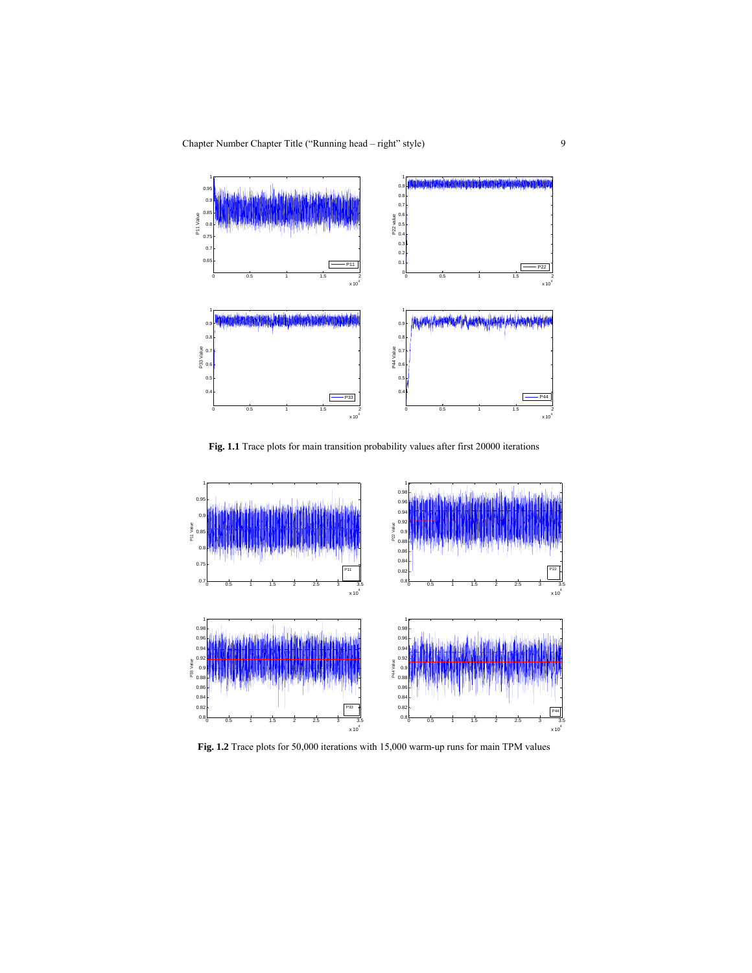

**Fig. 1.1** Trace plots for main transition probability values after first 20000 iterations



**Fig. 1.2** Trace plots for 50,000 iterations with 15,000 warm-up runs for main TPM values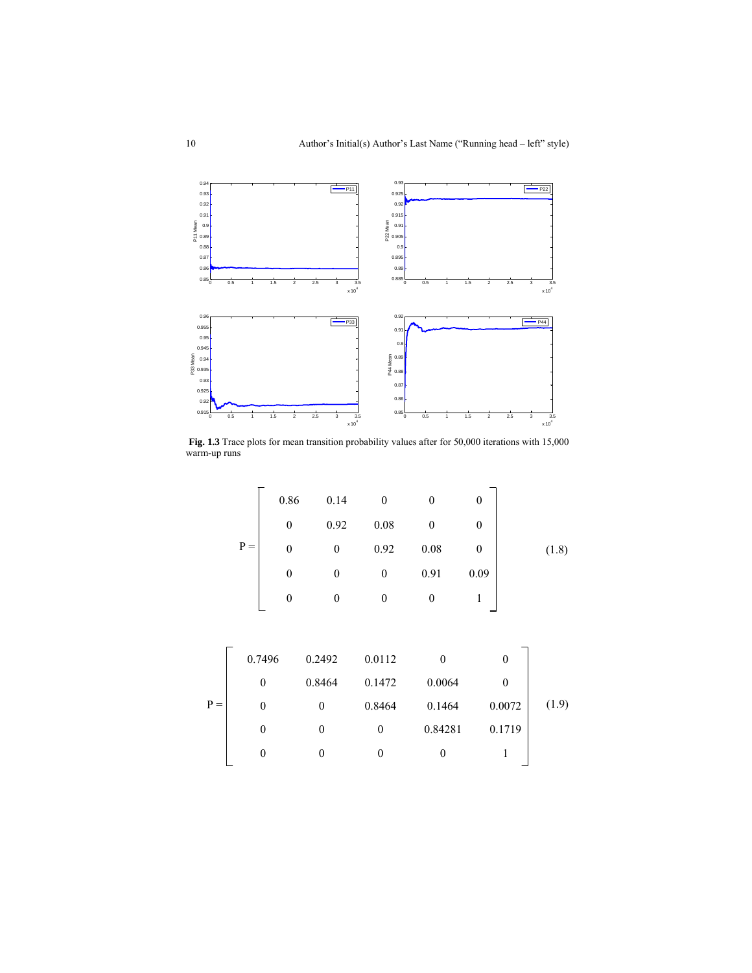

**Fig. 1.3** Trace plots for mean transition probability values after for 50,000 iterations with 15,000 warm-up runs

|       | 0.86 | 0.14 |      |      | 0                |       |
|-------|------|------|------|------|------------------|-------|
|       | 0    | 0.92 | 0.08 |      | $\boldsymbol{0}$ |       |
| $P =$ |      |      | 0.92 | 0.08 | $\theta$         | (1.8) |
|       | 0    |      |      | 0.91 | 0.09             |       |
|       | 0    |      |      |      |                  |       |

|       | 0.7496 | 0.2492 | 0.0112 |         |          |       |
|-------|--------|--------|--------|---------|----------|-------|
|       | 0      | 0.8464 | 0.1472 | 0.0064  | $\theta$ |       |
| $P =$ | 0      | 0      | 0.8464 | 0.1464  | 0.0072   | (1.9) |
|       | 0      | 0      | 0      | 0.84281 | 0.1719   |       |
|       | 0      |        | 0      | 0       |          |       |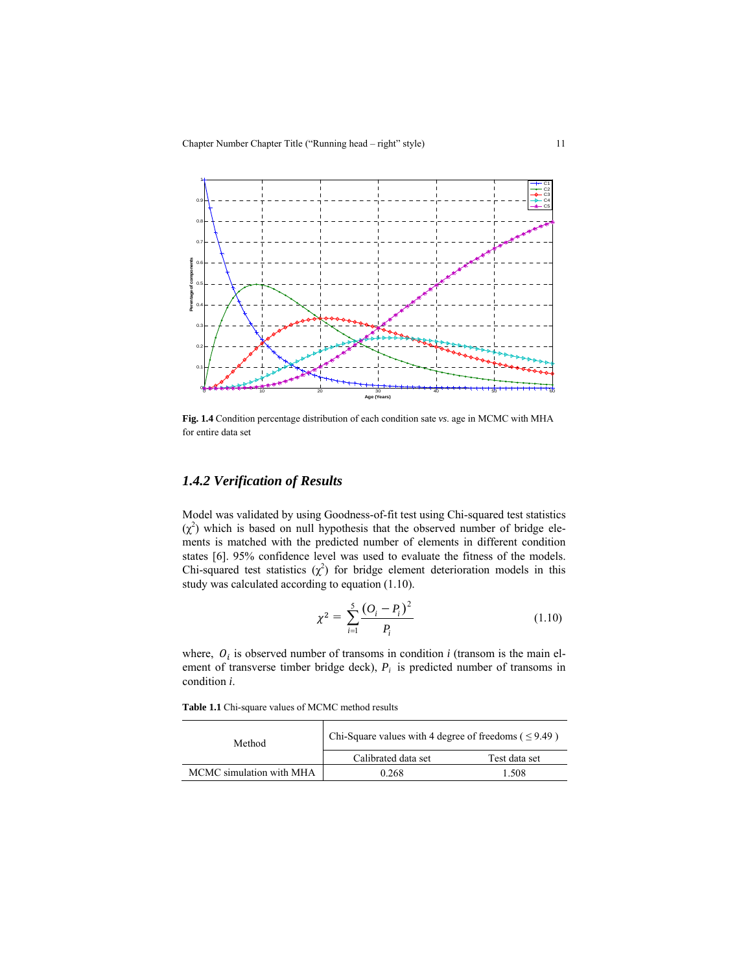

**Fig. 1.4** Condition percentage distribution of each condition sate *vs*. age in MCMC with MHA for entire data set

#### *1.4.2 Verification of Results*

Model was validated by using Goodness-of-fit test using Chi-squared test statistics  $(\chi^2)$  which is based on null hypothesis that the observed number of bridge elements is matched with the predicted number of elements in different condition states [6]. 95% confidence level was used to evaluate the fitness of the models. Chi-squared test statistics  $(\chi^2)$  for bridge element deterioration models in this study was calculated according to equation (1.10).

$$
\chi^2 = \sum_{i=1}^{5} \frac{(O_i - P_i)^2}{P_i}
$$
\n(1.10)

where,  $O_i$  is observed number of transoms in condition *i* (transom is the main element of transverse timber bridge deck),  $P_i$  is predicted number of transoms in condition *i*.

**Table 1.1** Chi-square values of MCMC method results

| Method                   | Chi-Square values with 4 degree of freedoms ( $\leq$ 9.49) |               |  |  |
|--------------------------|------------------------------------------------------------|---------------|--|--|
|                          | Calibrated data set                                        | Test data set |  |  |
| MCMC simulation with MHA | 0.268                                                      | 1.508         |  |  |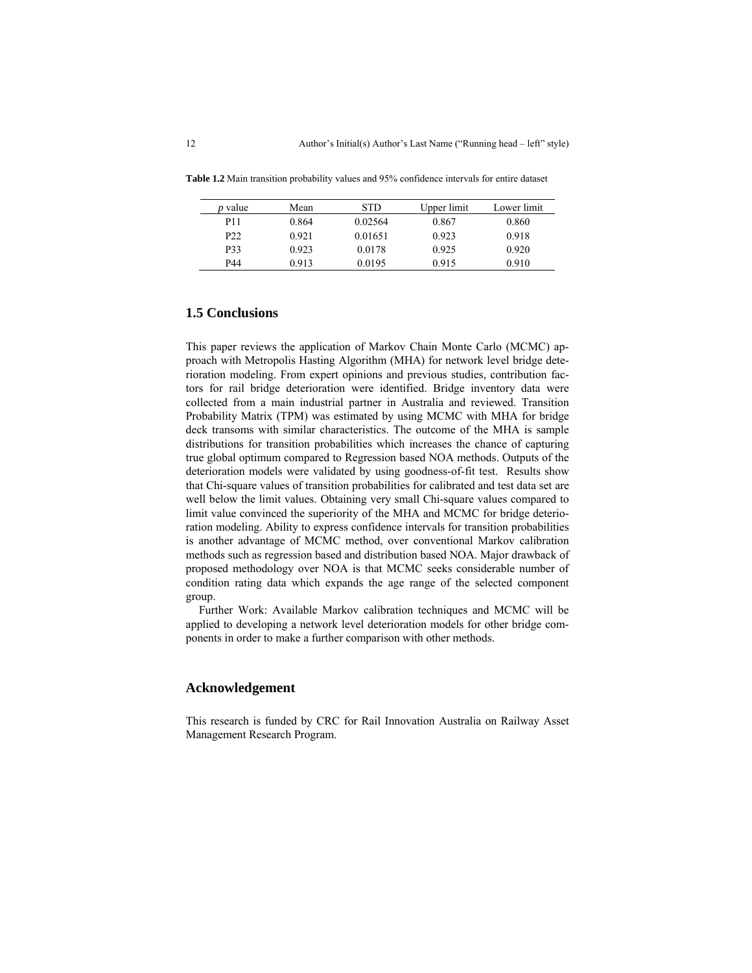**Table 1.2** Main transition probability values and 95% confidence intervals for entire dataset

| <i>p</i> value  | Mean  | STD     | Upper limit | Lower limit |
|-----------------|-------|---------|-------------|-------------|
| P <sub>11</sub> | 0.864 | 0.02564 | 0.867       | 0.860       |
| P <sub>22</sub> | 0.921 | 0.01651 | 0.923       | 0.918       |
| P33             | 0.923 | 0.0178  | 0.925       | 0.920       |
| P44             | 0.913 | 0.0195  | 0.915       | 0.910       |

#### **1.5 Conclusions**

This paper reviews the application of Markov Chain Monte Carlo (MCMC) approach with Metropolis Hasting Algorithm (MHA) for network level bridge deterioration modeling. From expert opinions and previous studies, contribution factors for rail bridge deterioration were identified. Bridge inventory data were collected from a main industrial partner in Australia and reviewed. Transition Probability Matrix (TPM) was estimated by using MCMC with MHA for bridge deck transoms with similar characteristics. The outcome of the MHA is sample distributions for transition probabilities which increases the chance of capturing true global optimum compared to Regression based NOA methods. Outputs of the deterioration models were validated by using goodness-of-fit test. Results show that Chi-square values of transition probabilities for calibrated and test data set are well below the limit values. Obtaining very small Chi-square values compared to limit value convinced the superiority of the MHA and MCMC for bridge deterioration modeling. Ability to express confidence intervals for transition probabilities is another advantage of MCMC method, over conventional Markov calibration methods such as regression based and distribution based NOA. Major drawback of proposed methodology over NOA is that MCMC seeks considerable number of condition rating data which expands the age range of the selected component group.

Further Work: Available Markov calibration techniques and MCMC will be applied to developing a network level deterioration models for other bridge components in order to make a further comparison with other methods.

#### **Acknowledgement**

This research is funded by CRC for Rail Innovation Australia on Railway Asset Management Research Program.